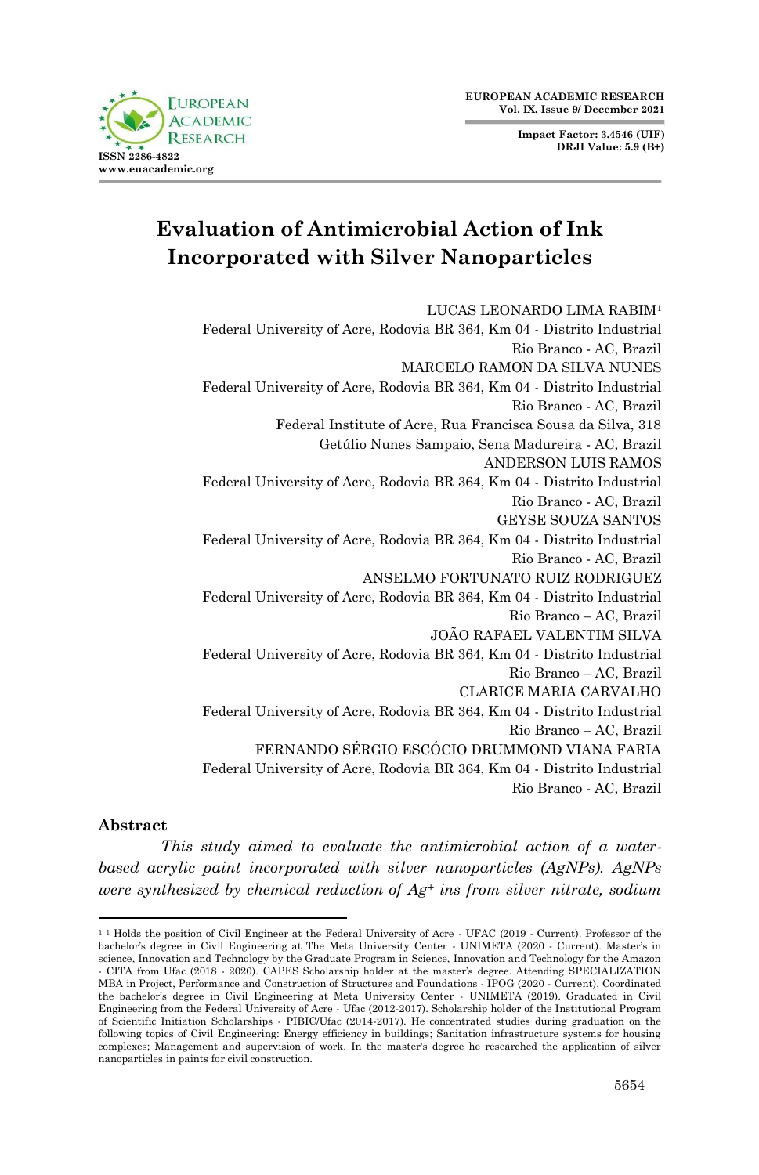**Impact Factor: 3.4546 (UIF) DRJI Value: 5.9 (B+)**



# **Evaluation of Antimicrobial Action of Ink Incorporated with Silver Nanoparticles**

LUCAS LEONARDO LIMA RABIM<sup>1</sup> Federal University of Acre, Rodovia BR 364, Km 04 - Distrito Industrial Rio Branco - AC, Brazil MARCELO RAMON DA SILVA NUNES Federal University of Acre, Rodovia BR 364, Km 04 - Distrito Industrial Rio Branco - AC, Brazil Federal Institute of Acre, Rua Francisca Sousa da Silva, 318 Getúlio Nunes Sampaio, Sena Madureira - AC, Brazil ANDERSON LUIS RAMOS Federal University of Acre, Rodovia BR 364, Km 04 - Distrito Industrial Rio Branco - AC, Brazil GEYSE SOUZA SANTOS Federal University of Acre, Rodovia BR 364, Km 04 - Distrito Industrial Rio Branco - AC, Brazil ANSELMO FORTUNATO RUIZ RODRIGUEZ Federal University of Acre, Rodovia BR 364, Km 04 - Distrito Industrial Rio Branco – AC, Brazil JOÃO RAFAEL VALENTIM SILVA Federal University of Acre, Rodovia BR 364, Km 04 - Distrito Industrial Rio Branco – AC, Brazil CLARICE MARIA CARVALHO Federal University of Acre, Rodovia BR 364, Km 04 - Distrito Industrial Rio Branco – AC, Brazil FERNANDO SÉRGIO ESCÓCIO DRUMMOND VIANA FARIA Federal University of Acre, Rodovia BR 364, Km 04 - Distrito Industrial Rio Branco - AC, Brazil

#### **Abstract**

*This study aimed to evaluate the antimicrobial action of a waterbased acrylic paint incorporated with silver nanoparticles (AgNPs). AgNPs were synthesized by chemical reduction of Ag<sup>+</sup> ins from silver nitrate, sodium* 

<sup>&</sup>lt;sup>11</sup> Holds the position of Civil Engineer at the Federal University of Acre - UFAC (2019 - Current). Professor of the<br>bachelor's degree in Civil Engineering at The Meta University Center - UNIMETA (2020 - Current). Master' science, Innovation and Technology by the Graduate Program in Science, Innovation and Technology for the Amazon - CITA from Ufac (2018 - 2020). CAPES Scholarship holder at the master's degree. Attending SPECIALIZATION MBA in Project, Performance and Construction of Structures and Foundations - IPOG (2020 - Current). Coordinated the bachelor's degree in Civil Engineering at Meta University Center - UNIMETA (2019). Graduated in Civil Engineering from the Federal University of Acre - Ufac (2012-2017). Scholarship holder of the Institutional Program of Scientific Initiation Scholarships - PIBIC/Ufac (2014-2017). He concentrated studies during graduation on the following topics of Civil Engineering: Energy efficiency in buildings; Sanitation infrastructure systems for housing complexes; Management and supervision of work. In the master's degree he researched the application of silver nanoparticles in paints for civil construction.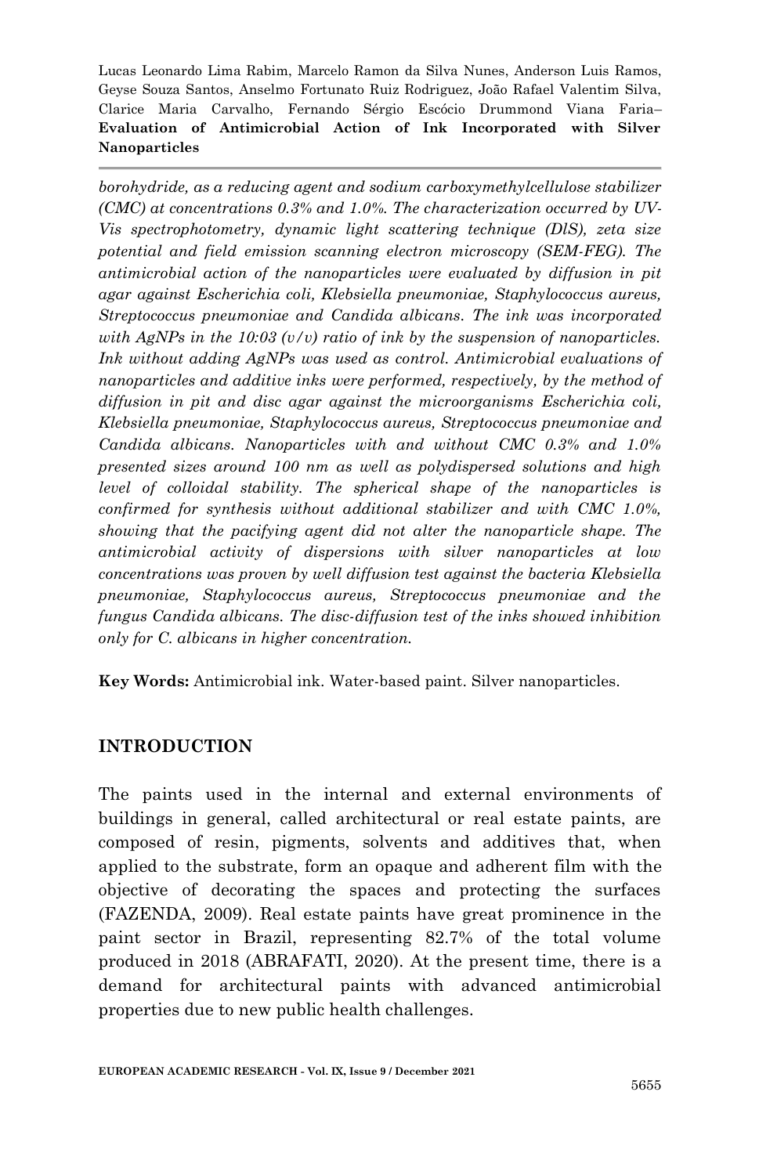*borohydride, as a reducing agent and sodium carboxymethylcellulose stabilizer (CMC) at concentrations 0.3% and 1.0%. The characterization occurred by UV-Vis spectrophotometry, dynamic light scattering technique (DlS), zeta size potential and field emission scanning electron microscopy (SEM-FEG). The antimicrobial action of the nanoparticles were evaluated by diffusion in pit agar against Escherichia coli, Klebsiella pneumoniae, Staphylococcus aureus, Streptococcus pneumoniae and Candida albicans. The ink was incorporated with AgNPs in the 10:03 (v/v) ratio of ink by the suspension of nanoparticles.*  Ink without adding AgNPs was used as control. Antimicrobial evaluations of *nanoparticles and additive inks were performed, respectively, by the method of diffusion in pit and disc agar against the microorganisms Escherichia coli, Klebsiella pneumoniae, Staphylococcus aureus, Streptococcus pneumoniae and Candida albicans. Nanoparticles with and without CMC 0.3% and 1.0% presented sizes around 100 nm as well as polydispersed solutions and high level of colloidal stability. The spherical shape of the nanoparticles is confirmed for synthesis without additional stabilizer and with CMC 1.0%, showing that the pacifying agent did not alter the nanoparticle shape. The antimicrobial activity of dispersions with silver nanoparticles at low concentrations was proven by well diffusion test against the bacteria Klebsiella pneumoniae, Staphylococcus aureus, Streptococcus pneumoniae and the fungus Candida albicans. The disc-diffusion test of the inks showed inhibition only for C. albicans in higher concentration.*

**Key Words:** Antimicrobial ink. Water-based paint. Silver nanoparticles.

## **INTRODUCTION**

The paints used in the internal and external environments of buildings in general, called architectural or real estate paints, are composed of resin, pigments, solvents and additives that, when applied to the substrate, form an opaque and adherent film with the objective of decorating the spaces and protecting the surfaces (FAZENDA, 2009). Real estate paints have great prominence in the paint sector in Brazil, representing 82.7% of the total volume produced in 2018 (ABRAFATI, 2020). At the present time, there is a demand for architectural paints with advanced antimicrobial properties due to new public health challenges.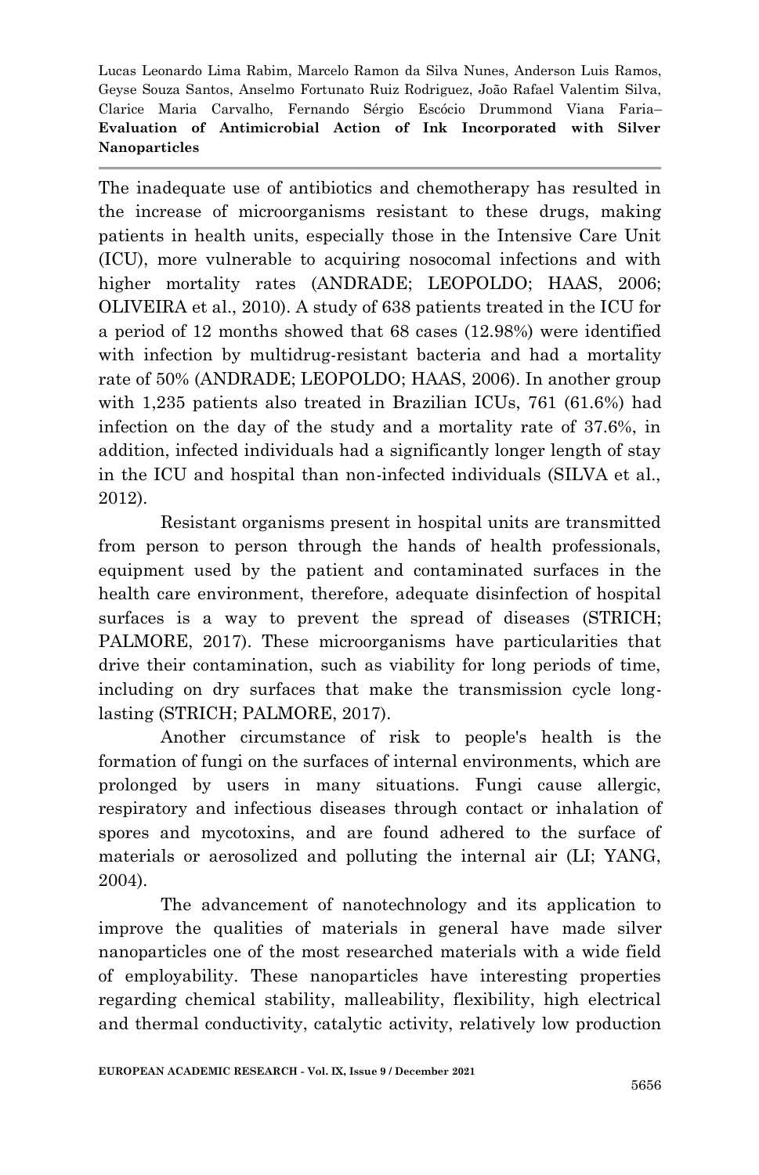The inadequate use of antibiotics and chemotherapy has resulted in the increase of microorganisms resistant to these drugs, making patients in health units, especially those in the Intensive Care Unit (ICU), more vulnerable to acquiring nosocomal infections and with higher mortality rates (ANDRADE; LEOPOLDO; HAAS, 2006; OLIVEIRA et al., 2010). A study of 638 patients treated in the ICU for a period of 12 months showed that 68 cases (12.98%) were identified with infection by multidrug-resistant bacteria and had a mortality rate of 50% (ANDRADE; LEOPOLDO; HAAS, 2006). In another group with 1,235 patients also treated in Brazilian ICUs, 761 (61.6%) had infection on the day of the study and a mortality rate of 37.6%, in addition, infected individuals had a significantly longer length of stay in the ICU and hospital than non-infected individuals (SILVA et al., 2012).

Resistant organisms present in hospital units are transmitted from person to person through the hands of health professionals, equipment used by the patient and contaminated surfaces in the health care environment, therefore, adequate disinfection of hospital surfaces is a way to prevent the spread of diseases (STRICH; PALMORE, 2017). These microorganisms have particularities that drive their contamination, such as viability for long periods of time, including on dry surfaces that make the transmission cycle longlasting (STRICH; PALMORE, 2017).

Another circumstance of risk to people's health is the formation of fungi on the surfaces of internal environments, which are prolonged by users in many situations. Fungi cause allergic, respiratory and infectious diseases through contact or inhalation of spores and mycotoxins, and are found adhered to the surface of materials or aerosolized and polluting the internal air (LI; YANG, 2004).

The advancement of nanotechnology and its application to improve the qualities of materials in general have made silver nanoparticles one of the most researched materials with a wide field of employability. These nanoparticles have interesting properties regarding chemical stability, malleability, flexibility, high electrical and thermal conductivity, catalytic activity, relatively low production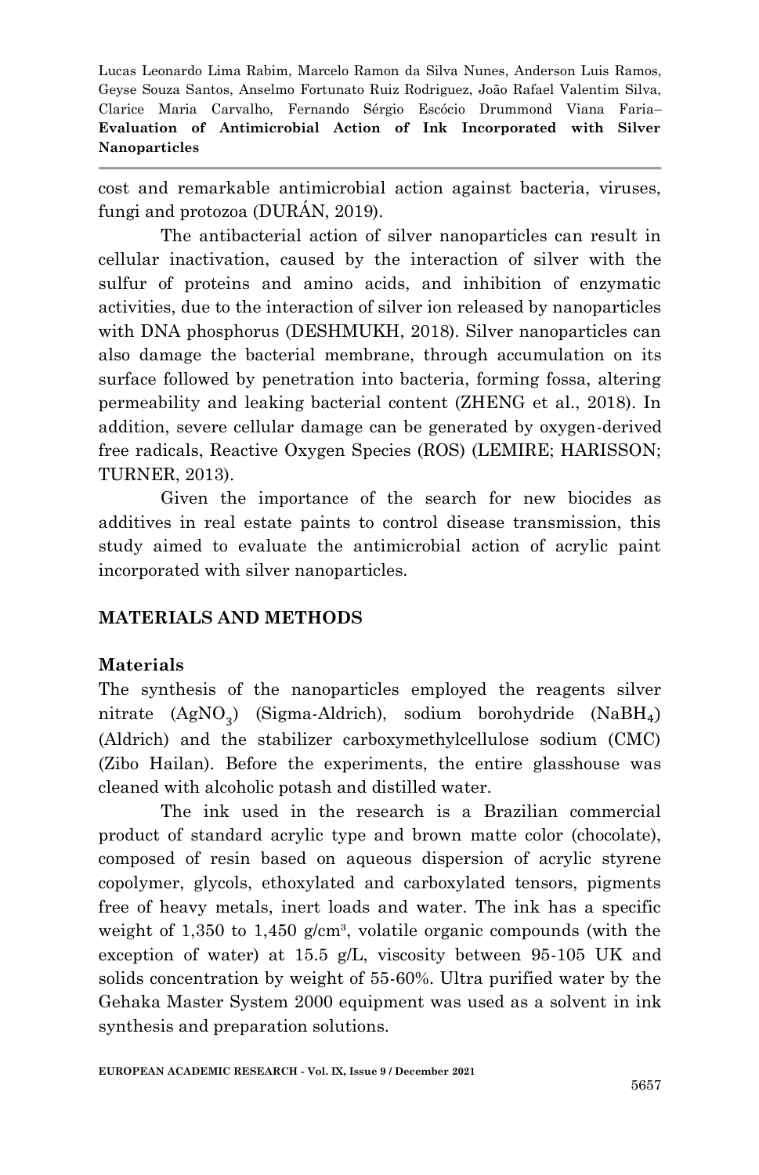cost and remarkable antimicrobial action against bacteria, viruses, fungi and protozoa (DURÁN, 2019).

The antibacterial action of silver nanoparticles can result in cellular inactivation, caused by the interaction of silver with the sulfur of proteins and amino acids, and inhibition of enzymatic activities, due to the interaction of silver ion released by nanoparticles with DNA phosphorus (DESHMUKH, 2018). Silver nanoparticles can also damage the bacterial membrane, through accumulation on its surface followed by penetration into bacteria, forming fossa, altering permeability and leaking bacterial content (ZHENG et al., 2018). In addition, severe cellular damage can be generated by oxygen-derived free radicals, Reactive Oxygen Species (ROS) (LEMIRE; HARISSON; TURNER, 2013).

Given the importance of the search for new biocides as additives in real estate paints to control disease transmission, this study aimed to evaluate the antimicrobial action of acrylic paint incorporated with silver nanoparticles.

## **MATERIALS AND METHODS**

## **Materials**

The synthesis of the nanoparticles employed the reagents silver nitrate (AgNO<sub>3</sub>) (Sigma-Aldrich), sodium borohydride (NaB (Aldrich) and the stabilizer carboxymethylcellulose sodium (CMC) (Zibo Hailan). Before the experiments, the entire glasshouse was cleaned with alcoholic potash and distilled water.

The ink used in the research is a Brazilian commercial product of standard acrylic type and brown matte color (chocolate), composed of resin based on aqueous dispersion of acrylic styrene copolymer, glycols, ethoxylated and carboxylated tensors, pigments free of heavy metals, inert loads and water. The ink has a specific weight of 1,350 to 1,450 g/cm<sup>3</sup>, volatile organic compounds (with the exception of water) at 15.5 g/L, viscosity between 95-105 UK and solids concentration by weight of 55-60%. Ultra purified water by the Gehaka Master System 2000 equipment was used as a solvent in ink synthesis and preparation solutions.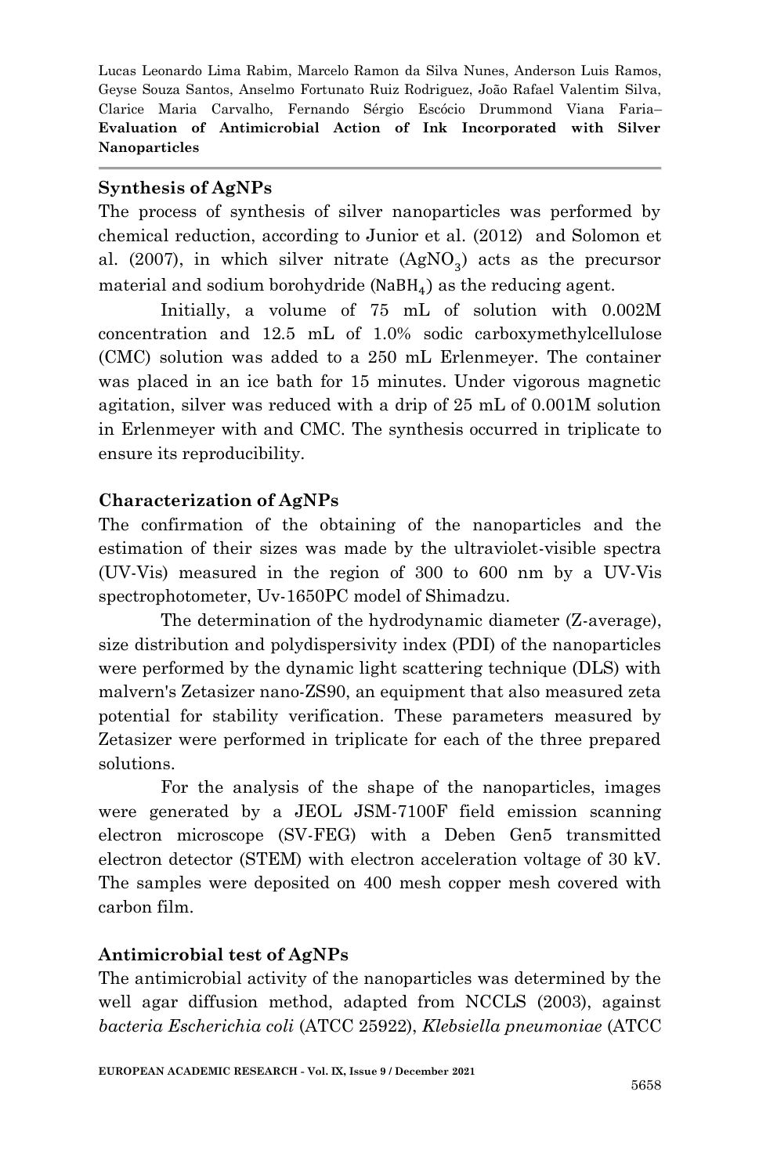# **Synthesis of AgNPs**

The process of synthesis of silver nanoparticles was performed by chemical reduction, according to Junior et al. (2012) and Solomon et al. (2007), in which silver nitrate  $(AgNO<sub>3</sub>)$  acts as the precursor material and sodium borohydride ( $N$ aB $H_4$ ) as the reducing agent.

Initially, a volume of 75 mL of solution with 0.002M concentration and 12.5 mL of 1.0% sodic carboxymethylcellulose (CMC) solution was added to a 250 mL Erlenmeyer. The container was placed in an ice bath for 15 minutes. Under vigorous magnetic agitation, silver was reduced with a drip of 25 mL of 0.001M solution in Erlenmeyer with and CMC. The synthesis occurred in triplicate to ensure its reproducibility.

# **Characterization of AgNPs**

The confirmation of the obtaining of the nanoparticles and the estimation of their sizes was made by the ultraviolet-visible spectra (UV-Vis) measured in the region of 300 to 600 nm by a UV-Vis spectrophotometer, Uv-1650PC model of Shimadzu.

The determination of the hydrodynamic diameter (Z-average), size distribution and polydispersivity index (PDI) of the nanoparticles were performed by the dynamic light scattering technique (DLS) with malvern's Zetasizer nano-ZS90, an equipment that also measured zeta potential for stability verification. These parameters measured by Zetasizer were performed in triplicate for each of the three prepared solutions.

For the analysis of the shape of the nanoparticles, images were generated by a JEOL JSM-7100F field emission scanning electron microscope (SV-FEG) with a Deben Gen5 transmitted electron detector (STEM) with electron acceleration voltage of 30 kV. The samples were deposited on 400 mesh copper mesh covered with carbon film.

# **Antimicrobial test of AgNPs**

The antimicrobial activity of the nanoparticles was determined by the well agar diffusion method, adapted from NCCLS (2003), against *bacteria Escherichia coli* (ATCC 25922), *Klebsiella pneumoniae* (ATCC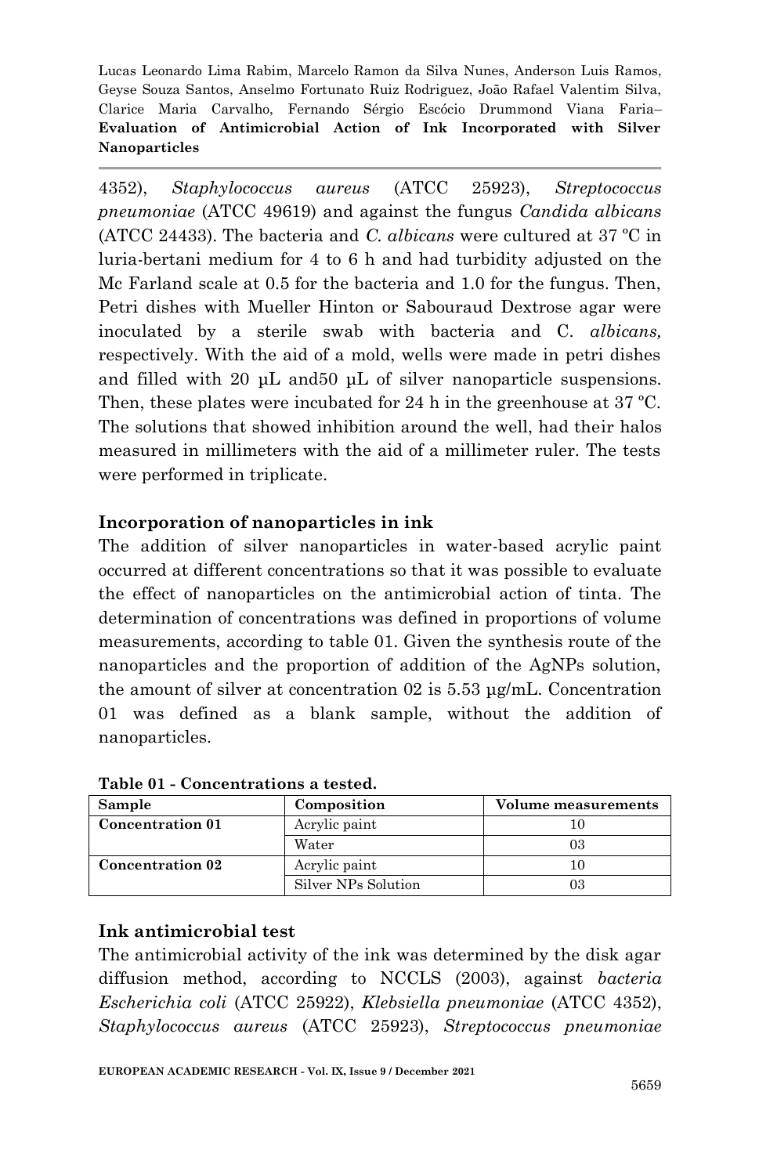4352), *Staphylococcus aureus* (ATCC 25923), *Streptococcus pneumoniae* (ATCC 49619) and against the fungus *Candida albicans* (ATCC 24433). The bacteria and *C. albicans* were cultured at 37 ºC in luria-bertani medium for 4 to 6 h and had turbidity adjusted on the Mc Farland scale at 0.5 for the bacteria and 1.0 for the fungus. Then, Petri dishes with Mueller Hinton or Sabouraud Dextrose agar were inoculated by a sterile swab with bacteria and C. *albicans,* respectively. With the aid of a mold, wells were made in petri dishes and filled with 20 μL and50 μL of silver nanoparticle suspensions. Then, these plates were incubated for 24 h in the greenhouse at 37 ºC. The solutions that showed inhibition around the well, had their halos measured in millimeters with the aid of a millimeter ruler. The tests were performed in triplicate.

# **Incorporation of nanoparticles in ink**

The addition of silver nanoparticles in water-based acrylic paint occurred at different concentrations so that it was possible to evaluate the effect of nanoparticles on the antimicrobial action of tinta. The determination of concentrations was defined in proportions of volume measurements, according to table 01. Given the synthesis route of the nanoparticles and the proportion of addition of the AgNPs solution, the amount of silver at concentration 02 is 5.53 μg/mL. Concentration 01 was defined as a blank sample, without the addition of nanoparticles.

| Sample                  | Composition         | Volume measurements |
|-------------------------|---------------------|---------------------|
| <b>Concentration 01</b> | Acrylic paint       |                     |
|                         | Water               | 03                  |
| <b>Concentration 02</b> | Acrylic paint       |                     |
|                         | Silver NPs Solution | 03                  |

**Table 01 - Concentrations a tested.**

## **Ink antimicrobial test**

The antimicrobial activity of the ink was determined by the disk agar diffusion method, according to NCCLS (2003), against *bacteria Escherichia coli* (ATCC 25922), *Klebsiella pneumoniae* (ATCC 4352), *Staphylococcus aureus* (ATCC 25923), *Streptococcus pneumoniae*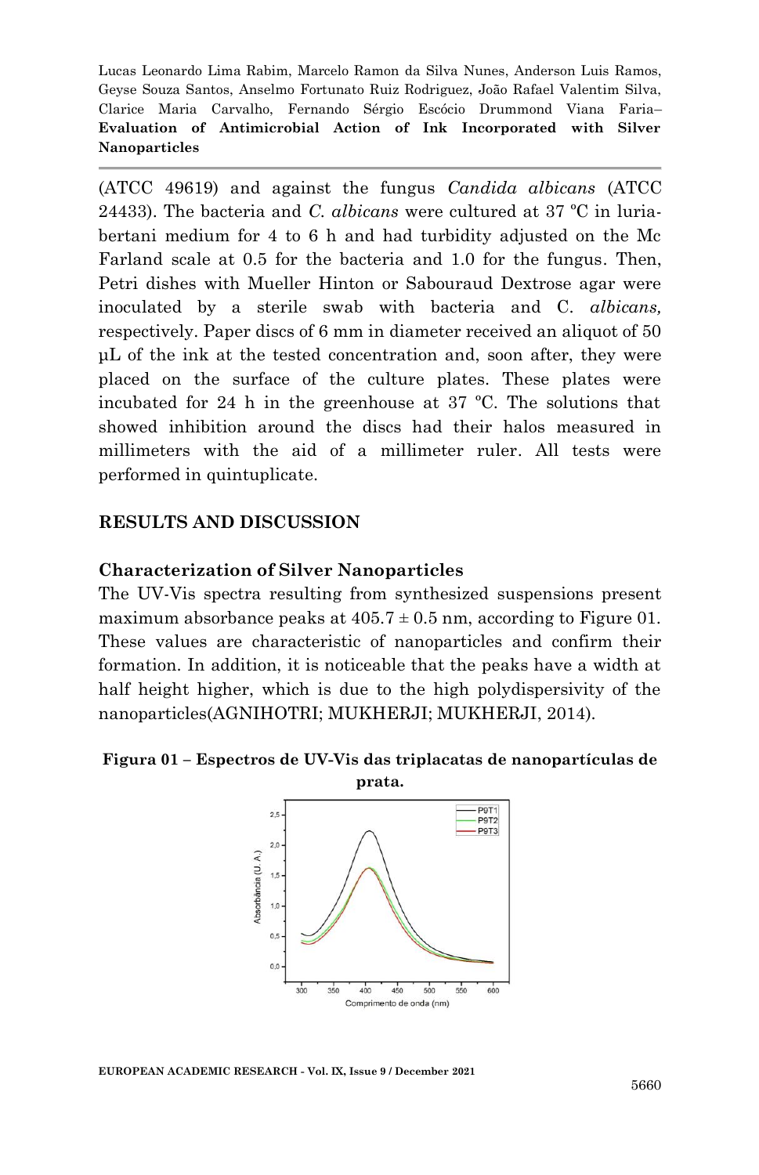(ATCC 49619) and against the fungus *Candida albicans* (ATCC 24433). The bacteria and *C. albicans* were cultured at 37 ºC in luriabertani medium for 4 to 6 h and had turbidity adjusted on the Mc Farland scale at 0.5 for the bacteria and 1.0 for the fungus. Then, Petri dishes with Mueller Hinton or Sabouraud Dextrose agar were inoculated by a sterile swab with bacteria and C. *albicans,* respectively. Paper discs of 6 mm in diameter received an aliquot of 50 μL of the ink at the tested concentration and, soon after, they were placed on the surface of the culture plates. These plates were incubated for 24 h in the greenhouse at 37 ºC. The solutions that showed inhibition around the discs had their halos measured in millimeters with the aid of a millimeter ruler. All tests were performed in quintuplicate.

#### **RESULTS AND DISCUSSION**

#### **Characterization of Silver Nanoparticles**

The UV-Vis spectra resulting from synthesized suspensions present maximum absorbance peaks at  $405.7 \pm 0.5$  nm, according to Figure 01. These values are characteristic of nanoparticles and confirm their formation. In addition, it is noticeable that the peaks have a width at half height higher, which is due to the high polydispersivity of the nanoparticles(AGNIHOTRI; MUKHERJI; MUKHERJI, 2014).

# **Figura 01 – Espectros de UV-Vis das triplacatas de nanopartículas de**



**EUROPEAN ACADEMIC RESEARCH - Vol. IX, Issue 9 / December 2021**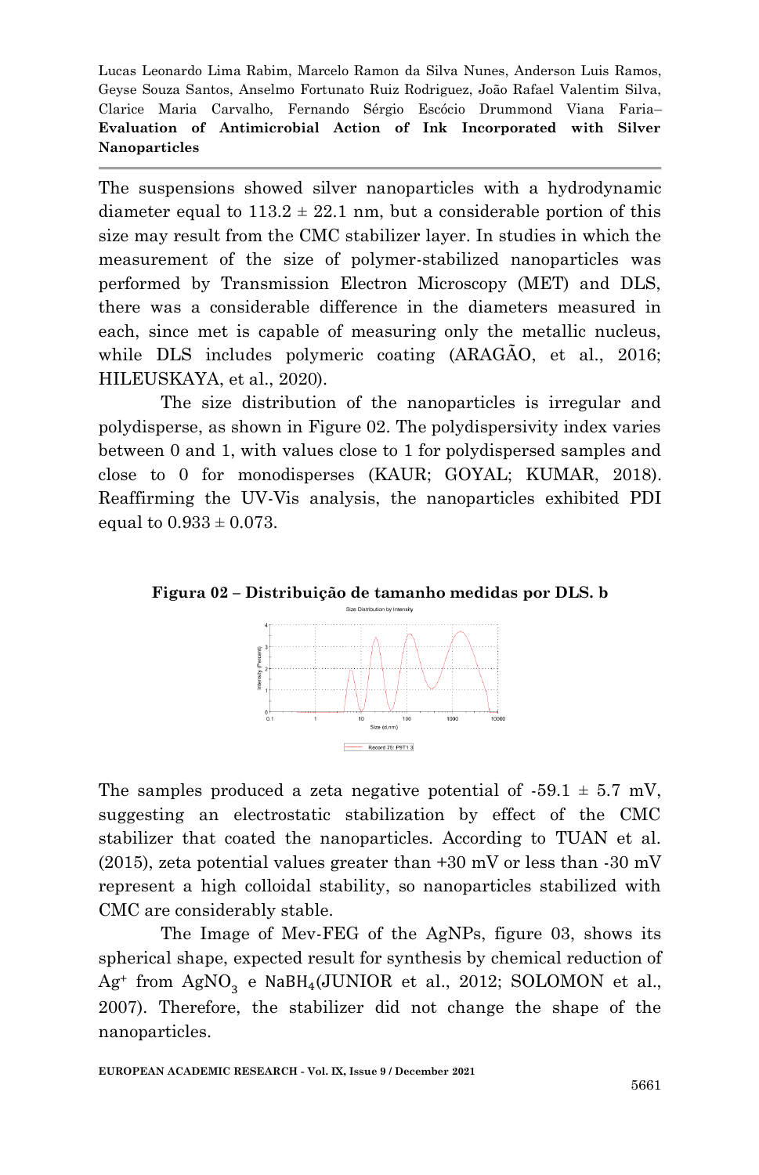The suspensions showed silver nanoparticles with a hydrodynamic diameter equal to  $113.2 \pm 22.1$  nm, but a considerable portion of this size may result from the CMC stabilizer layer. In studies in which the measurement of the size of polymer-stabilized nanoparticles was performed by Transmission Electron Microscopy (MET) and DLS, there was a considerable difference in the diameters measured in each, since met is capable of measuring only the metallic nucleus, while DLS includes polymeric coating (ARAGÃO, et al., 2016; HILEUSKAYA, et al., 2020).

The size distribution of the nanoparticles is irregular and polydisperse, as shown in Figure 02. The polydispersivity index varies between 0 and 1, with values close to 1 for polydispersed samples and close to 0 for monodisperses (KAUR; GOYAL; KUMAR, 2018). Reaffirming the UV-Vis analysis, the nanoparticles exhibited PDI equal to  $0.933 \pm 0.073$ .

**Figura 02 – Distribuição de tamanho medidas por DLS. b**



The samples produced a zeta negative potential of  $-59.1 \pm 5.7$  mV, suggesting an electrostatic stabilization by effect of the CMC stabilizer that coated the nanoparticles. According to TUAN et al.  $(2015)$ , zeta potential values greater than  $+30$  mV or less than  $-30$  mV represent a high colloidal stability, so nanoparticles stabilized with CMC are considerably stable.

The Image of Mev-FEG of the AgNPs, figure 03, shows its spherical shape, expected result for synthesis by chemical reduction of  $Ag^+$  from  $AgNO_3$  e NaBH<sub>4</sub>(JUNIOR et al., 2012; SOLOMON et al., 2007). Therefore, the stabilizer did not change the shape of the nanoparticles.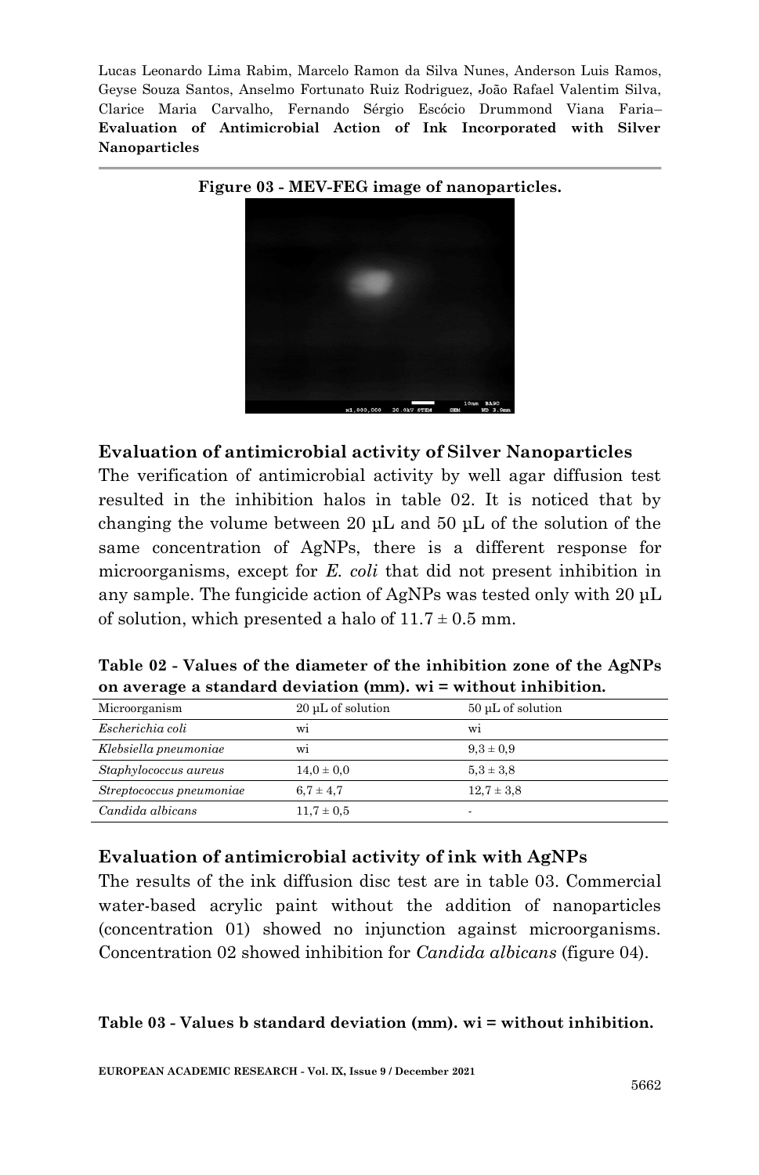



#### **Evaluation of antimicrobial activity of Silver Nanoparticles**

The verification of antimicrobial activity by well agar diffusion test resulted in the inhibition halos in table 02. It is noticed that by changing the volume between 20 μL and 50 μL of the solution of the same concentration of AgNPs, there is a different response for microorganisms, except for *E. coli* that did not present inhibition in any sample. The fungicide action of AgNPs was tested only with 20 μL of solution, which presented a halo of  $11.7 \pm 0.5$  mm.

| Table 02 - Values of the diameter of the inhibition zone of the AgNPs |
|-----------------------------------------------------------------------|
| on average a standard deviation $(mm)$ , wi = without inhibition.     |

| Microorganism            | 20 µL of solution | 50 µL of solution |
|--------------------------|-------------------|-------------------|
| Escherichia coli         | W1                | W1                |
| Klebsiella pneumoniae    | W1                | $9.3 \pm 0.9$     |
| Staphylococcus aureus    | $14.0 \pm 0.0$    | $5.3 \pm 3.8$     |
| Streptococcus pneumoniae | $6.7 \pm 4.7$     | $12.7 \pm 3.8$    |
| Candida albicans         | $11.7 \pm 0.5$    | -                 |

## **Evaluation of antimicrobial activity of ink with AgNPs**

The results of the ink diffusion disc test are in table 03. Commercial water-based acrylic paint without the addition of nanoparticles (concentration 01) showed no injunction against microorganisms. Concentration 02 showed inhibition for *Candida albicans* (figure 04).

#### **Table 03 - Values b standard deviation (mm). wi = without inhibition.**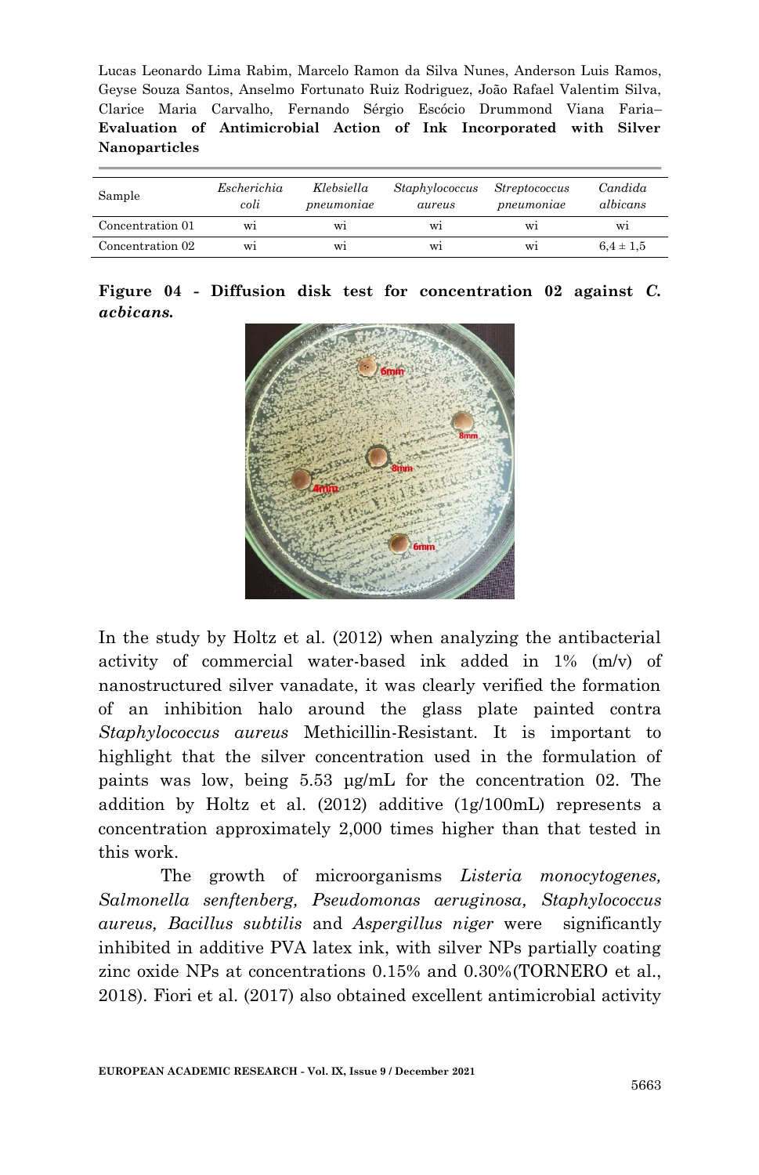| Sample           | Escherichia<br>coli | Klebsiella<br>$p$ neumoniae | Staphylococcus<br>aureus | <i>Streptococcus</i><br>$p$ neumoniae | Candida<br>albicans |  |
|------------------|---------------------|-----------------------------|--------------------------|---------------------------------------|---------------------|--|
| Concentration 01 | W1                  | W1                          | W1                       | W1                                    | W1                  |  |
| Concentration 02 | W1                  | W1                          | W1                       | W1                                    | $6.4 \pm 1.5$       |  |

|                  |  |  |  | Figure $04$ - Diffusion disk test for concentration 02 against C. |  |  |
|------------------|--|--|--|-------------------------------------------------------------------|--|--|
| <i>acbicans.</i> |  |  |  |                                                                   |  |  |



In the study by Holtz et al. (2012) when analyzing the antibacterial activity of commercial water-based ink added in 1% (m/v) of nanostructured silver vanadate, it was clearly verified the formation of an inhibition halo around the glass plate painted contra *Staphylococcus aureus* Methicillin-Resistant. It is important to highlight that the silver concentration used in the formulation of paints was low, being 5.53 μg/mL for the concentration 02. The addition by Holtz et al. (2012) additive (1g/100mL) represents a concentration approximately 2,000 times higher than that tested in this work.

The growth of microorganisms *Listeria monocytogenes, Salmonella senftenberg, Pseudomonas aeruginosa, Staphylococcus aureus, Bacillus subtilis* and *Aspergillus niger* were significantly inhibited in additive PVA latex ink, with silver NPs partially coating zinc oxide NPs at concentrations 0.15% and 0.30%(TORNERO et al., 2018). Fiori et al. (2017) also obtained excellent antimicrobial activity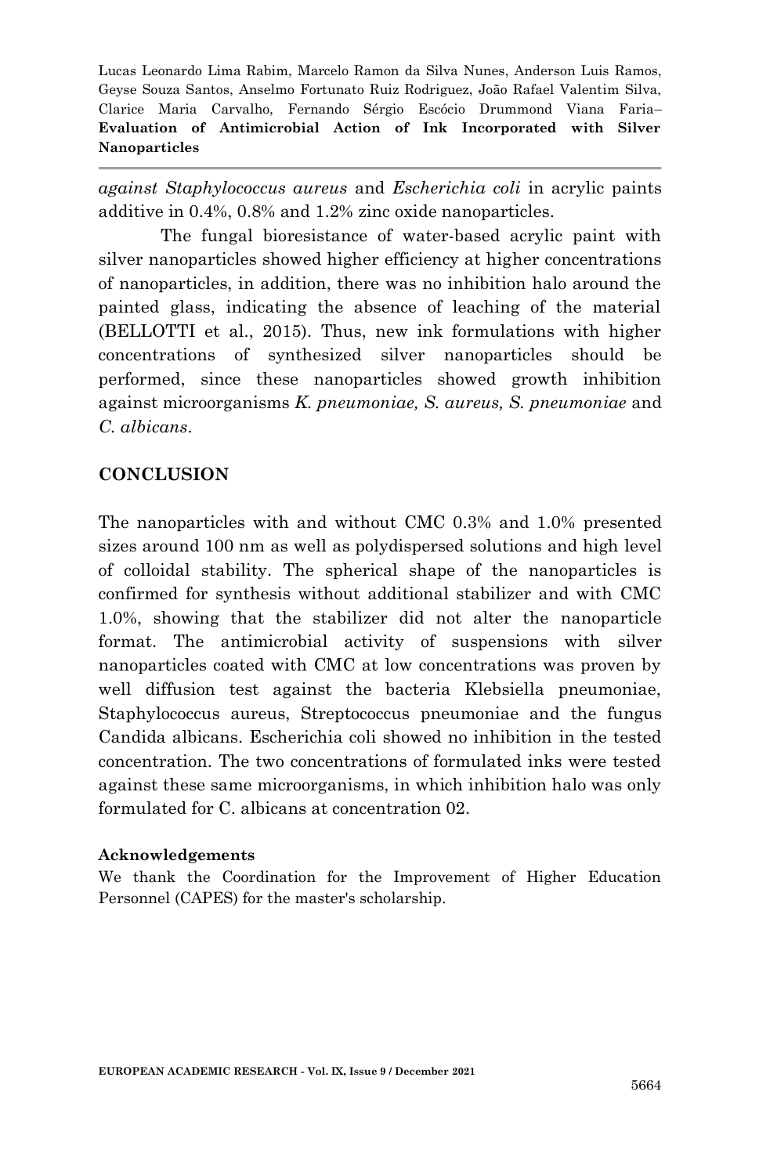*against Staphylococcus aureus* and *Escherichia coli* in acrylic paints additive in 0.4%, 0.8% and 1.2% zinc oxide nanoparticles.

The fungal bioresistance of water-based acrylic paint with silver nanoparticles showed higher efficiency at higher concentrations of nanoparticles, in addition, there was no inhibition halo around the painted glass, indicating the absence of leaching of the material (BELLOTTI et al., 2015). Thus, new ink formulations with higher concentrations of synthesized silver nanoparticles should be performed, since these nanoparticles showed growth inhibition against microorganisms *K. pneumoniae, S. aureus, S. pneumoniae* and *C. albicans*.

# **CONCLUSION**

The nanoparticles with and without CMC 0.3% and 1.0% presented sizes around 100 nm as well as polydispersed solutions and high level of colloidal stability. The spherical shape of the nanoparticles is confirmed for synthesis without additional stabilizer and with CMC 1.0%, showing that the stabilizer did not alter the nanoparticle format. The antimicrobial activity of suspensions with silver nanoparticles coated with CMC at low concentrations was proven by well diffusion test against the bacteria Klebsiella pneumoniae, Staphylococcus aureus, Streptococcus pneumoniae and the fungus Candida albicans. Escherichia coli showed no inhibition in the tested concentration. The two concentrations of formulated inks were tested against these same microorganisms, in which inhibition halo was only formulated for C. albicans at concentration 02.

#### **Acknowledgements**

We thank the Coordination for the Improvement of Higher Education Personnel (CAPES) for the master's scholarship.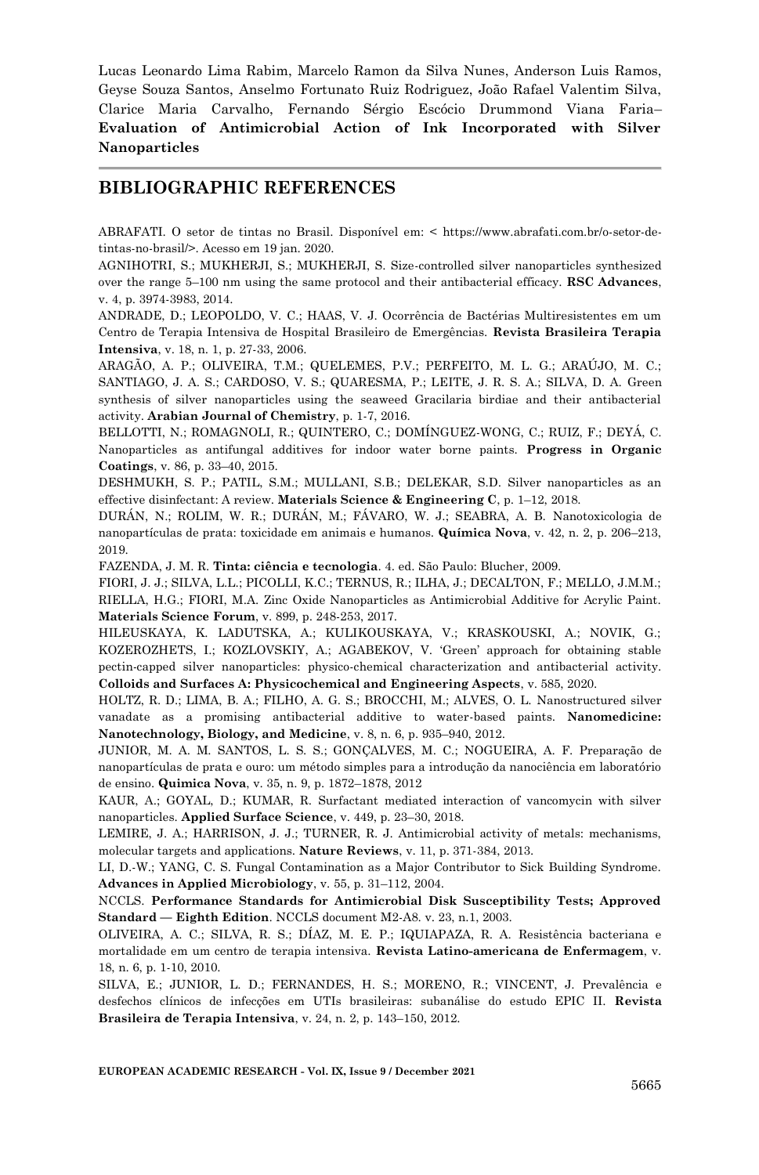#### **BIBLIOGRAPHIC REFERENCES**

ABRAFATI. O setor de tintas no Brasil. Disponível em: < https://www.abrafati.com.br/o-setor-detintas-no-brasil/>. Acesso em 19 jan. 2020.

AGNIHOTRI, S.; MUKHERJI, S.; MUKHERJI, S. Size-controlled silver nanoparticles synthesized over the range 5–100 nm using the same protocol and their antibacterial efficacy. **RSC Advances**, v. 4, p. 3974-3983, 2014.

ANDRADE, D.; LEOPOLDO, V. C.; HAAS, V. J. Ocorrência de Bactérias Multiresistentes em um Centro de Terapia Intensiva de Hospital Brasileiro de Emergências. **Revista Brasileira Terapia Intensiva**, v. 18, n. 1, p. 27-33, 2006.

ARAGÃO, A. P.; OLIVEIRA, T.M.; QUELEMES, P.V.; PERFEITO, M. L. G.; ARAÚJO, M. C.; SANTIAGO, J. A. S.; CARDOSO, V. S.; QUARESMA, P.; LEITE, J. R. S. A.; SILVA, D. A. Green synthesis of silver nanoparticles using the seaweed Gracilaria birdiae and their antibacterial activity. **Arabian Journal of Chemistry**, p. 1-7, 2016.

BELLOTTI, N.; ROMAGNOLI, R.; QUINTERO, C.; DOMÍNGUEZ-WONG, C.; RUIZ, F.; DEYÁ, C. Nanoparticles as antifungal additives for indoor water borne paints. **Progress in Organic Coatings**, v. 86, p. 33–40, 2015.

DESHMUKH, S. P.; PATIL, S.M.; MULLANI, S.B.; DELEKAR, S.D. Silver nanoparticles as an effective disinfectant: A review. **Materials Science & Engineering C**, p. 1–12, 2018.

DURÁN, N.; ROLIM, W. R.; DURÁN, M.; FÁVARO, W. J.; SEABRA, A. B. Nanotoxicologia de nanopartículas de prata: toxicidade em animais e humanos. **Química Nova**, v. 42, n. 2, p. 206–213, 2019.

FAZENDA, J. M. R. **Tinta: ciência e tecnologia**. 4. ed. São Paulo: Blucher, 2009.

FIORI, J. J.; SILVA, L.L.; PICOLLI, K.C.; TERNUS, R.; ILHA, J.; DECALTON, F.; MELLO, J.M.M.; RIELLA, H.G.; FIORI, M.A. Zinc Oxide Nanoparticles as Antimicrobial Additive for Acrylic Paint. **Materials Science Forum**, v. 899, p. 248-253, 2017.

HILEUSKAYA, K. LADUTSKA, A.; KULIKOUSKAYA, V.; KRASKOUSKI, A.; NOVIK, G.; KOZEROZHETS, I.; KOZLOVSKIY, A.; AGABEKOV, V. 'Green' approach for obtaining stable pectin-capped silver nanoparticles: physico-chemical characterization and antibacterial activity. **Colloids and Surfaces A: Physicochemical and Engineering Aspects**, v. 585, 2020.

HOLTZ, R. D.; LIMA, B. A.; FILHO, A. G. S.; BROCCHI, M.; ALVES, O. L. Nanostructured silver vanadate as a promising antibacterial additive to water-based paints. **Nanomedicine: Nanotechnology, Biology, and Medicine**, v. 8, n. 6, p. 935–940, 2012.

JUNIOR, M. A. M. SANTOS, L. S. S.; GONÇALVES, M. C.; NOGUEIRA, A. F. Preparação de nanopartículas de prata e ouro: um método simples para a introdução da nanociência em laboratório de ensino. **Quimica Nova**, v. 35, n. 9, p. 1872–1878, 2012

KAUR, A.; GOYAL, D.; KUMAR, R. Surfactant mediated interaction of vancomycin with silver nanoparticles. **Applied Surface Science**, v. 449, p. 23–30, 2018.

LEMIRE, J. A.; HARRISON, J. J.; TURNER, R. J. Antimicrobial activity of metals: mechanisms, molecular targets and applications. **Nature Reviews**, v. 11, p. 371-384, 2013.

LI, D.-W.; YANG, C. S. Fungal Contamination as a Major Contributor to Sick Building Syndrome. **Advances in Applied Microbiology**, v. 55, p. 31–112, 2004.

NCCLS. **Performance Standards for Antimicrobial Disk Susceptibility Tests; Approved Standard — Eighth Edition**. NCCLS document M2-A8. v. 23, n.1, 2003.

OLIVEIRA, A. C.; SILVA, R. S.; DÍAZ, M. E. P.; IQUIAPAZA, R. A. Resistência bacteriana e mortalidade em um centro de terapia intensiva. **Revista Latino-americana de Enfermagem**, v. 18, n. 6, p. 1-10, 2010.

SILVA, E.; JUNIOR, L. D.; FERNANDES, H. S.; MORENO, R.; VINCENT, J. Prevalência e desfechos clínicos de infecções em UTIs brasileiras: subanálise do estudo EPIC II. **Revista Brasileira de Terapia Intensiva**, v. 24, n. 2, p. 143–150, 2012.